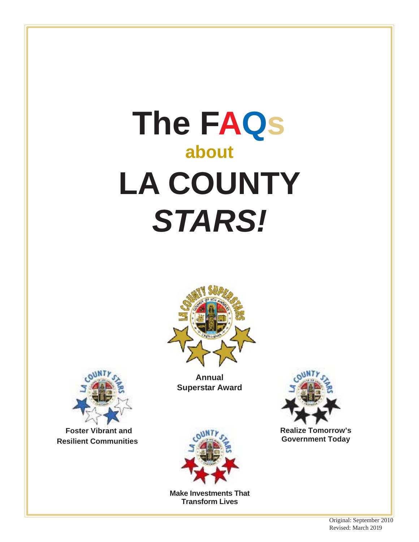# **The FAQs about LA COUNTY** *STARS!*



**Annual Superstar Award**



**Realize Tomorrow's Government Today**



**Foster Vibrant and Resilient Communities**



**Make Investments That Transform Lives**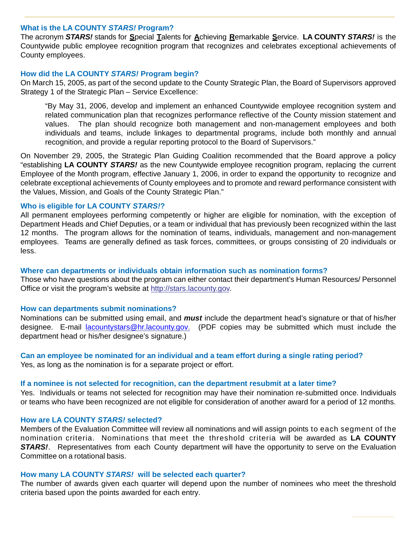## **What is the LA COUNTY** *STARS!* **Program?**

The acronym *STARS!* stands for **S**pecial **T**alents for **A**chieving **R**emarkable **S**ervice. **LA COUNTY** *STARS!* is the Countywide public employee recognition program that recognizes and celebrates exceptional achievements of County employees.

## **How did the LA COUNTY** *STARS!* **Program begin?**

On March 15, 2005, as part of the second update to the County Strategic Plan, the Board of Supervisors approved Strategy 1 of the Strategic Plan – Service Excellence:

 "By May 31, 2006, develop and implement an enhanced Countywide employee recognition system and related communication plan that recognizes performance reflective of the County mission statement and values. The plan should recognize both management and non-management employees and both individuals and teams, include linkages to departmental programs, include both monthly and annual recognition, and provide a regular reporting protocol to the Board of Supervisors."

On November 29, 2005, the Strategic Plan Guiding Coalition recommended that the Board approve a policy "establishing **LA COUNTY** *STARS!* as the new Countywide employee recognition program, replacing the current Employee of the Month program, effective January 1, 2006, in order to expand the opportunity to recognize and celebrate exceptional achievements of County employees and to promote and reward performance consistent with the Values, Mission, and Goals of the County Strategic Plan."

## **Who is eligible for LA COUNTY** *STARS!***?**

All permanent employees performing competently or higher are eligible for nomination, with the exception of Department Heads and Chief Deputies, or a team or individual that has previously been recognized within the last 12 months. The program allows for the nomination of teams, individuals, management and non-management employees. Teams are generally defined as task forces, committees, or groups consisting of 20 individuals or less.

## **Where can departments or individuals obtain information such as nomination forms?**

Those who have questions about the program can either contact their department's Human Resources/ Personnel Office or visit the program's website at http://stars.lacounty.gov.

#### **How can departments submit nominations?**

Nominations can be submitted using email, and *must* include the department head's signature or that of his/her designee. E-mail lacountystars@hr.lacounty.gov. (PDF copies may be submitted which must include the department head or his/her designee's signature.)

#### **Can an employee be nominated for an individual and a team effort during a single rating period?** Yes, as long as the nomination is for a separate project or effort.

#### **If a nominee is not selected for recognition, can the department resubmit at a later time?**

Yes. Individuals or teams not selected for recognition may have their nomination re-submitted once. Individuals or teams who have been recognized are not eligible for consideration of another award for a period of 12 months.

#### **How are LA COUNTY** *STARS!* **selected?**

Members of the Evaluation Committee will review all nominations and will assign points to each segment of the nomination criteria. Nominations that meet the threshold criteria will be awarded as **LA COUNTY STARS!**. Representatives from each County department will have the opportunity to serve on the Evaluation Committee on a rotational basis.

#### **How many LA COUNTY** *STARS!* **will be selected each quarter?**

The number of awards given each quarter will depend upon the number of nominees who meet the threshold criteria based upon the points awarded for each entry.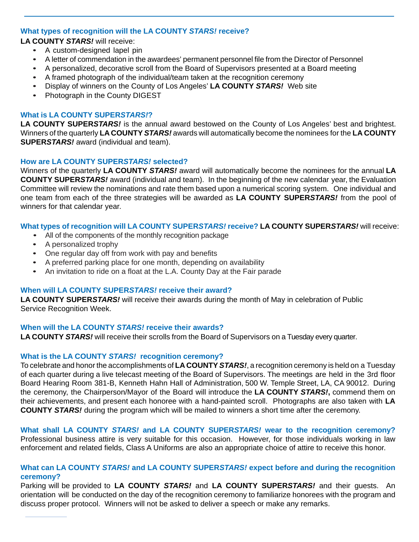# **What types of recognition will the LA COUNTY** *STARS!* **receive?**

**LA COUNTY** *STARS!* will receive:

- A custom-designed lapel pin
- A letter of commendation in the awardees' permanent personnel file from the Director of Personnel
- A personalized, decorative scroll from the Board of Supervisors presented at a Board meeting
- A framed photograph of the individual/team taken at the recognition ceremony
- Display of winners on the County of Los Angeles' **LA COUNTY** *STARS!* Web site
- Photograph in the County DIGEST

## **What is LA COUNTY SUPER***STARS!***?**

**LA COUNTY SUPER***STARS!* is the annual award bestowed on the County of Los Angeles' best and brightest. Winners of the quarterly **LA COUNTY** *STARS!* awards will automatically become the nominees for the **LA COUNTY SUPER***STARS!* award (individual and team).

## **How are LA COUNTY SUPER***STARS!* **selected?**

Winners of the quarterly **LA COUNTY** *STARS!* award will automatically become the nominees for the annual **LA COUNTY SUPER***STARS!* award (individual and team). In the beginning of the new calendar year, the Evaluation Committee will review the nominations and rate them based upon a numerical scoring system. One individual and one team from each of the three strategies will be awarded as **LA COUNTY SUPER***STARS!* from the pool of winners for that calendar year.

## **What types of recognition will LA COUNTY SUPER***STARS!* **receive? LA COUNTY SUPER***STARS!* will receive:

- All of the components of the monthly recognition package
- A personalized trophy
- One regular day off from work with pay and benefits
- A preferred parking place for one month, depending on availability
- An invitation to ride on a float at the L.A. County Day at the Fair parade

# **When will LA COUNTY SUPER***STARS!* **receive their award?**

**LA COUNTY SUPER***STARS!* will receive their awards during the month of May in celebration of Public Service Recognition Week.

## **When will the LA COUNTY** *STARS!* **receive their awards?**

**LA COUNTY** *STARS!* will receive their scrolls from the Board of Supervisors on a Tuesday every quarter.

# **What is the LA COUNTY** *STARS!* **recognition ceremony?**

To celebrate and honor the accomplishments of **LA COUNTY** *STARS!*, a recognition ceremony is held on a Tuesday of each quarter during a live telecast meeting of the Board of Supervisors. The meetings are held in the 3rd floor Board Hearing Room 381-B, Kenneth Hahn Hall of Administration, 500 W. Temple Street, LA, CA 90012. During the ceremony, the Chairperson/Mayor of the Board will introduce the **LA COUNTY** *STARS!***,** commend them on their achievements, and present each honoree with a hand-painted scroll. Photographs are also taken with **LA COUNTY** *STARS!* during the program which will be mailed to winners a short time after the ceremony.

**What shall LA COUNTY** *STARS!* **and LA COUNTY SUPER***STARS!* **wear to the recognition ceremony?**  Professional business attire is very suitable for this occasion. However, for those individuals working in law enforcement and related fields, Class A Uniforms are also an appropriate choice of attire to receive this honor.

# **What can LA COUNTY** *STARS!* **and LA COUNTY SUPER***STARS!* **expect before and during the recognition ceremony?**

Parking will be provided to **LA COUNTY** *STARS!* and **LA COUNTY SUPER***STARS!* and their guests. An orientation will be conducted on the day of the recognition ceremony to familiarize honorees with the program and discuss proper protocol. Winners will not be asked to deliver a speech or make any remarks.